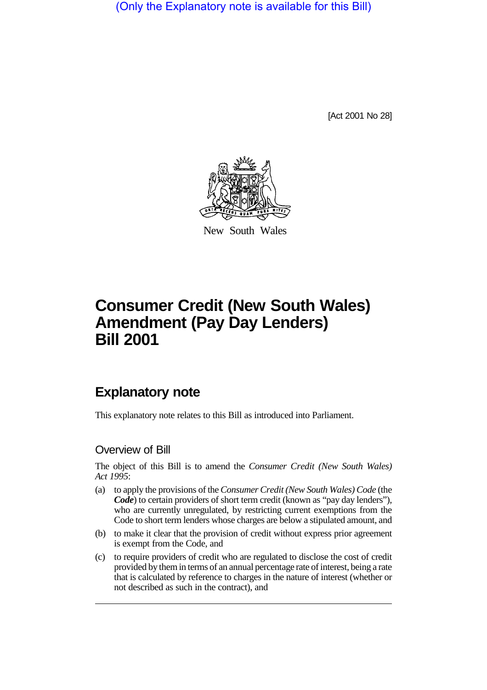(Only the Explanatory note is available for this Bill)

[Act 2001 No 28]



New South Wales

# **Consumer Credit (New South Wales) Amendment (Pay Day Lenders) Bill 2001**

# **Explanatory note**

This explanatory note relates to this Bill as introduced into Parliament.

## Overview of Bill

The object of this Bill is to amend the *Consumer Credit (New South Wales) Act 1995*:

- (a) to apply the provisions of the *Consumer Credit (New South Wales) Code* (the *Code*) to certain providers of short term credit (known as "pay day lenders"), who are currently unregulated, by restricting current exemptions from the Code to short term lenders whose charges are below a stipulated amount, and
- (b) to make it clear that the provision of credit without express prior agreement is exempt from the Code, and
- (c) to require providers of credit who are regulated to disclose the cost of credit provided by them in terms of an annual percentage rate of interest, being a rate that is calculated by reference to charges in the nature of interest (whether or not described as such in the contract), and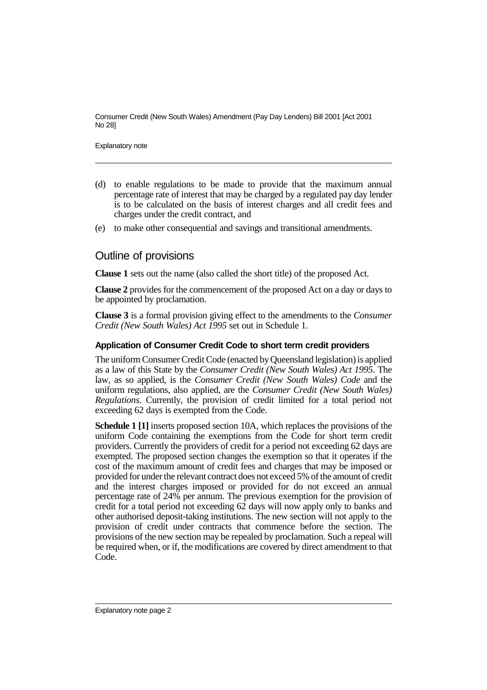Consumer Credit (New South Wales) Amendment (Pay Day Lenders) Bill 2001 [Act 2001 No 28]

Explanatory note

- (d) to enable regulations to be made to provide that the maximum annual percentage rate of interest that may be charged by a regulated pay day lender is to be calculated on the basis of interest charges and all credit fees and charges under the credit contract, and
- (e) to make other consequential and savings and transitional amendments.

### Outline of provisions

**Clause 1** sets out the name (also called the short title) of the proposed Act.

**Clause 2** provides for the commencement of the proposed Act on a day or days to be appointed by proclamation.

**Clause 3** is a formal provision giving effect to the amendments to the *Consumer Credit (New South Wales) Act 1995* set out in Schedule 1.

#### **Application of Consumer Credit Code to short term credit providers**

The uniform Consumer Credit Code (enacted by Queensland legislation) is applied as a law of this State by the *Consumer Credit (New South Wales) Act 1995*. The law, as so applied, is the *Consumer Credit (New South Wales) Code* and the uniform regulations, also applied, are the *Consumer Credit (New South Wales) Regulations*. Currently, the provision of credit limited for a total period not exceeding 62 days is exempted from the Code.

**Schedule 1 [1]** inserts proposed section 10A, which replaces the provisions of the uniform Code containing the exemptions from the Code for short term credit providers. Currently the providers of credit for a period not exceeding 62 days are exempted. The proposed section changes the exemption so that it operates if the cost of the maximum amount of credit fees and charges that may be imposed or provided for under the relevant contract does not exceed 5% of the amount of credit and the interest charges imposed or provided for do not exceed an annual percentage rate of 24% per annum. The previous exemption for the provision of credit for a total period not exceeding 62 days will now apply only to banks and other authorised deposit-taking institutions. The new section will not apply to the provision of credit under contracts that commence before the section. The provisions of the new section may be repealed by proclamation. Such a repeal will be required when, or if, the modifications are covered by direct amendment to that Code.